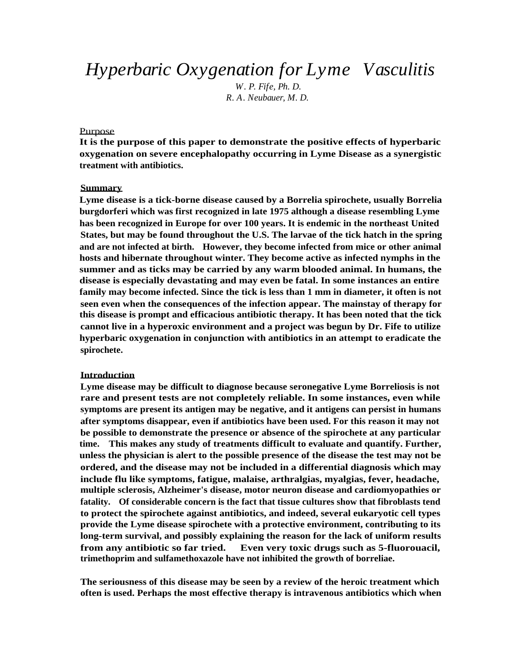*Hyperbaric Oxygenation for Lyme Vasculitis*

*W. P. Fife, Ph. D. R. A. Neubauer, M. D.*

#### Purpose

**It is the purpose of this paper to demonstrate the positive effects of hyperbaric oxygenation on severe encephalopathy occurring in Lyme Disease as a synergistic treatment with antibiotics.**

#### **Summary**

**Lyme disease is a tick-borne disease caused by a Borrelia spirochete, usually Borrelia burgdorferi which was first recognized in late 1975 although a disease resembling Lyme has been recognized in Europe for over 100 years. It is endemic in the northeast United States, but may be found throughout the U.S. The larvae of the tick hatch in the spring and are not infected at birth. However, they become infected from mice or other animal hosts and hibernate throughout winter. They become active as infected nymphs in the summer and as ticks may be carried by any warm blooded animal. In humans, the disease is especially devastating and may even be fatal. In some instances an entire family may become infected. Since the tick is less than 1 mm in diameter, it often is not seen even when the consequences of the infection appear. The mainstay of therapy for this disease is prompt and efficacious antibiotic therapy. It has been noted that the tick cannot live in a hyperoxic environment and a project was begun by Dr. Fife to utilize hyperbaric oxygenation in conjunction with antibiotics in an attempt to eradicate the spirochete.**

#### **Introduction**

**Lyme disease may be difficult to diagnose because seronegative Lyme Borreliosis is not rare and present tests are not completely reliable. In some instances, even while symptoms are present its antigen may be negative, and it antigens can persist in humans after symptoms disappear, even if antibiotics have been used. For this reason it may not be possible to demonstrate the presence or absence of the spirochete at any particular time. This makes any study of treatments difficult to evaluate and quantify. Further, unless the physician is alert to the possible presence of the disease the test may not be ordered, and the disease may not be included in a differential diagnosis which may include flu like symptoms, fatigue, malaise, arthralgias, myalgias, fever, headache, multiple sclerosis, Alzheimer's disease, motor neuron disease and cardiomyopathies or fatality. Of considerable concern is the fact that tissue cultures show that fibroblasts tend to protect the spirochete against antibiotics, and indeed, several eukaryotic cell types provide the Lyme disease spirochete with a protective environment, contributing to its long-term survival, and possibly explaining the reason for the lack of uniform results from any antibiotic so far tried. Even very toxic drugs such as 5-fluorouacil, trimethoprim and sulfamethoxazole have not inhibited the growth of borreliae.**

**The seriousness of this disease may be seen by a review of the heroic treatment which often is used. Perhaps the most effective therapy is intravenous antibiotics which when**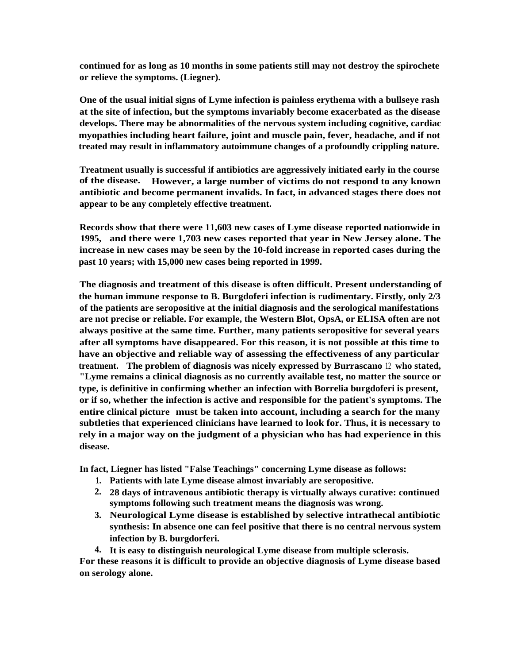**continued for as long as 10 months in some patients still may not destroy the spirochete or relieve the symptoms. (Liegner).**

**One of the usual initial signs of Lyme infection is painless erythema with a bullseye rash at the site of infection, but the symptoms invariably become exacerbated as the disease develops. There may be abnormalities of the nervous system including cognitive, cardiac myopathies including heart failure, joint and muscle pain, fever, headache, and if not treated may result in inflammatory autoimmune changes of a profoundly crippling nature.**

**Treatment usually is successful if antibiotics are aggressively initiated early in the course of the disease. However, a large number of victims do not respond to any known antibiotic and become permanent invalids. In fact, in advanced stages there does not appear to be any completely effective treatment.**

**Records show that there were 11,603 new cases of Lyme disease reported nationwide in 1995, and there were 1,703 new cases reported that year in New Jersey alone. The increase in new cases may be seen by the 10-fold increase in reported cases during the past 10 years; with 15,000 new cases being reported in 1999.**

**The diagnosis and treatment of this disease is often difficult. Present understanding of the human immune response to B. Burgdoferi infection is rudimentary. Firstly, only 2/3 of the patients are seropositive at the initial diagnosis and the serological manifestations are not precise or reliable. For example, the Western Blot, OpsA, or ELISA often are not always positive at the same time. Further, many patients seropositive for several years after all symptoms have disappeared. For this reason, it is not possible at this time to have an objective and reliable way of assessing the effectiveness of any particular treatment. The problem of diagnosis was nicely expressed by Burrascano** <sup>12</sup> **who stated, "Lyme remains a clinical diagnosis as no currently available test, no matter the source or type, is definitive in confirming whether an infection with Borrelia burgdoferi is present, or if so, whether the infection is active and responsible for the patient's symptoms. The entire clinical picture must be taken into account, including a search for the many subtleties that experienced clinicians have learned to look for. Thus, it is necessary to rely in a major way on the judgment of a physician who has had experience in this disease.**

**In fact, Liegner has listed "False Teachings" concerning Lyme disease as follows:**

- **1. Patients with late Lyme disease almost invariably are seropositive.**
- **2. 28 days of intravenous antibiotic therapy is virtually always curative: continued symptoms following such treatment means the diagnosis was wrong.**
- **3. Neurological Lyme disease is established by selective intrathecal antibiotic synthesis: In absence one can feel positive that there is no central nervous system infection by B. burgdorferi.**
- **4. It is easy to distinguish neurological Lyme disease from multiple sclerosis.**

**For these reasons it is difficult to provide an objective diagnosis of Lyme disease based on serology alone.**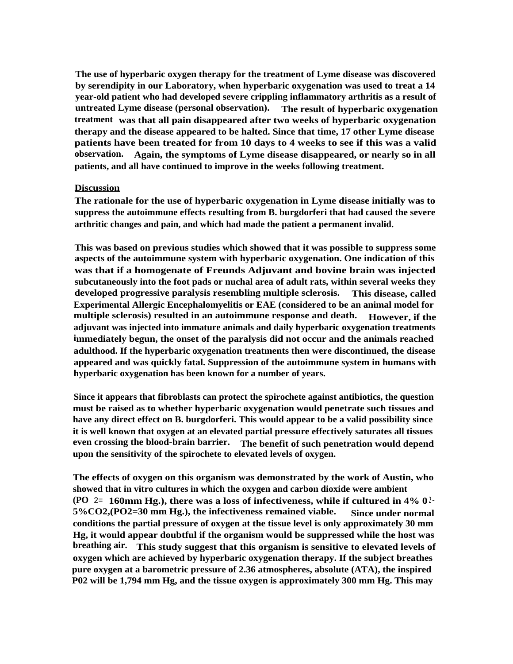**The use of hyperbaric oxygen therapy for the treatment of Lyme disease was discovered by serendipity in our Laboratory, when hyperbaric oxygenation was used to treat a 14 year-old patient who had developed severe crippling inflammatory arthritis as a result of untreated Lyme disease (personal observation). The result of hyperbaric oxygenation treatment was that all pain disappeared after two weeks of hyperbaric oxygenation therapy and the disease appeared to be halted. Since that time, 17 other Lyme disease patients have been treated for from 10 days to 4 weeks to see if this was a valid observation. Again, the symptoms of Lyme disease disappeared, or nearly so in all patients, and all have continued to improve in the weeks following treatment.**

### **Discussion**

**The rationale for the use of hyperbaric oxygenation in Lyme disease initially was to suppress the autoimmune effects resulting from B. burgdorferi that had caused the severe arthritic changes and pain, and which had made the patient a permanent invalid.**

**This was based on previous studies which showed that it was possible to suppress some aspects of the autoimmune system with hyperbaric oxygenation. One indication of this was that if a homogenate of Freunds Adjuvant and bovine brain was injected subcutaneously into the foot pads or nuchal area of adult rats, within several weeks they developed progressive paralysis resembling multiple sclerosis. This disease, called Experimental Allergic Encephalomyelitis or EAE (considered to be an animal model for multiple sclerosis) resulted in an autoimmune response and death. However, if the adjuvant was injected into immature animals and daily hyperbaric oxygenation treatments immediately begun, the onset of the paralysis did not occur and the animals reached adulthood. If the hyperbaric oxygenation treatments then were discontinued, the disease appeared and was quickly fatal. Suppression of the autoimmune system in humans with hyperbaric oxygenation has been known for a number of years.**

**Since it appears that fibroblasts can protect the spirochete against antibiotics, the question must be raised as to whether hyperbaric oxygenation would penetrate such tissues and have any direct effect on B. burgdorferi. This would appear to be a valid possibility since it is well known that oxygen at an elevated partial pressure effectively saturates all tissues even crossing the blood-brain barrier. The benefit of such penetration would depend upon the sensitivity of the spirochete to elevated levels of oxygen.**

**The effects of oxygen on this organism was demonstrated by the work of Austin, who showed that in vitro cultures in which the oxygen and carbon dioxide were ambient (PO** 2= **160mm Hg.), there was a loss of infectiveness, while if cultured in**  $4\%$  **0<sup>2</sup> 5%CO2,(PO2=30 mm Hg.), the infectiveness remained viable. Since under normal conditions the partial pressure of oxygen at the tissue level is only approximately 30 mm Hg, it would appear doubtful if the organism would be suppressed while the host was breathing air. This study suggest that this organism is sensitive to elevated levels of oxygen which are achieved by hyperbaric oxygenation therapy. If the subject breathes pure oxygen at a barometric pressure of 2.36 atmospheres, absolute (ATA), the inspired P02 will be 1,794 mm Hg, and the tissue oxygen is approximately 300 mm Hg. This may**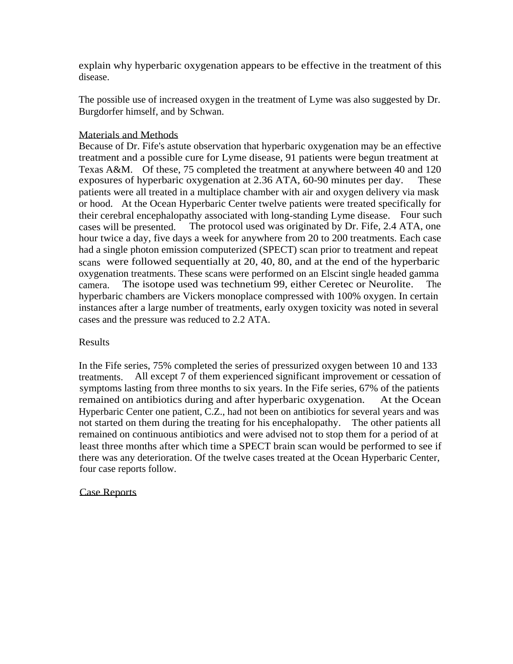explain why hyperbaric oxygenation appears to be effective in the treatment of this disease.

The possible use of increased oxygen in the treatment of Lyme was also suggested by Dr. Burgdorfer himself, and by Schwan.

# Materials and Methods

Because of Dr. Fife's astute observation that hyperbaric oxygenation may be an effective treatment and a possible cure for Lyme disease, 91 patients were begun treatment at Texas A&M. Of these, 75 completed the treatment at anywhere between 40 and 120 exposures of hyperbaric oxygenation at 2.36 ATA, 60-90 minutes per day. These patients were all treated in a multiplace chamber with air and oxygen delivery via mask or hood. At the Ocean Hyperbaric Center twelve patients were treated specifically for their cerebral encephalopathy associated with long-standing Lyme disease. Four such cases will be presented. The protocol used was originated by Dr. Fife, 2.4 ATA, one hour twice a day, five days a week for anywhere from 20 to 200 treatments. Each case had a single photon emission computerized (SPECT) scan prior to treatment and repeat scans were followed sequentially at 20, 40, 80, and at the end of the hyperbaric oxygenation treatments. These scans were performed on an Elscint single headed gamma camera. The isotope used was technetium 99, either Ceretec or Neurolite. The hyperbaric chambers are Vickers monoplace compressed with 100% oxygen. In certain instances after a large number of treatments, early oxygen toxicity was noted in several cases and the pressure was reduced to 2.2 ATA.

# Results

In the Fife series, 75% completed the series of pressurized oxygen between 10 and 133 treatments. All except 7 of them experienced significant improvement or cessation of symptoms lasting from three months to six years. In the Fife series, 67% of the patients remained on antibiotics during and after hyperbaric oxygenation. At the Ocean Hyperbaric Center one patient, C.Z., had not been on antibiotics for several years and was not started on them during the treating for his encephalopathy. The other patients all remained on continuous antibiotics and were advised not to stop them for a period of at least three months after which time a SPECT brain scan would be performed to see if there was any deterioration. Of the twelve cases treated at the Ocean Hyperbaric Center, four case reports follow.

# Case Reports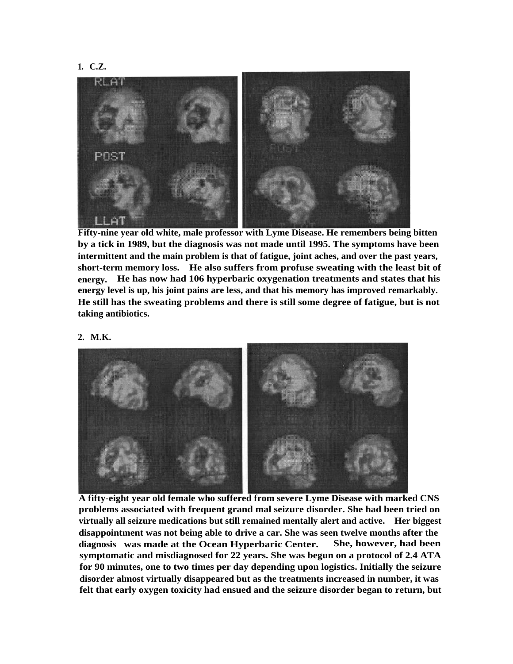



**Fifty-nine year old white, male professor with Lyme Disease. He remembers being bitten by a tick in 1989, but the diagnosis was not made until 1995. The symptoms have been intermittent and the main problem is that of fatigue, joint aches, and over the past years, short-term memory loss. He also suffers from profuse sweating with the least bit of energy. He has now had 106 hyperbaric oxygenation treatments and states that his energy level is up, his joint pains are less, and that his memory has improved remarkably. He still has the sweating problems and there is still some degree of fatigue, but is not taking antibiotics.**



**A fifty-eight year old female who suffered from severe Lyme Disease with marked CNS problems associated with frequent grand mal seizure disorder. She had been tried on virtually all seizure medications but still remained mentally alert and active. Her biggest disappointment was not being able to drive a car. She was seen twelve months after the diagnosis was made at the Ocean Hyperbaric Center. She, however, had been symptomatic and misdiagnosed for 22 years. She was begun on a protocol of 2.4 ATA for 90 minutes, one to two times per day depending upon logistics. Initially the seizure disorder almost virtually disappeared but as the treatments increased in number, it was felt that early oxygen toxicity had ensued and the seizure disorder began to return, but**

## **2. M.K.**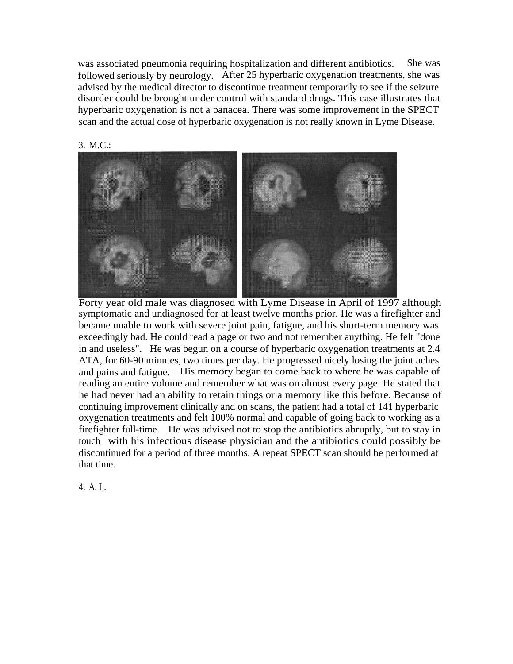was associated pneumonia requiring hospitalization and different antibiotics. She was followed seriously by neurology. After 25 hyperbaric oxygenation treatments, she was advised by the medical director to discontinue treatment temporarily to see if the seizure disorder could be brought under control with standard drugs. This case illustrates that hyperbaric oxygenation is not a panacea. There was some improvement in the SPECT scan and the actual dose of hyperbaric oxygenation is not really known in Lyme Disease.



Forty year old male was diagnosed with Lyme Disease in April of 1997 although symptomatic and undiagnosed for at least twelve months prior. He was a firefighter and became unable to work with severe joint pain, fatigue, and his short-term memory was exceedingly bad. He could read a page or two and not remember anything. He felt "done in and useless". He was begun on a course of hyperbaric oxygenation treatments at 2.4 ATA, for 60-90 minutes, two times per day. He progressed nicely losing the joint aches and pains and fatigue. His memory began to come back to where he was capable of reading an entire volume and remember what was on almost every page. He stated that he had never had an ability to retain things or a memory like this before. Because of continuing improvement clinically and on scans, the patient had a total of 141 hyperbaric oxygenation treatments and felt 100% normal and capable of going back to working as a firefighter full-time. He was advised not to stop the antibiotics abruptly, but to stay in touch with his infectious disease physician and the antibiotics could possibly be discontinued for a period of three months. A repeat SPECT scan should be performed at that time.

4. A. L.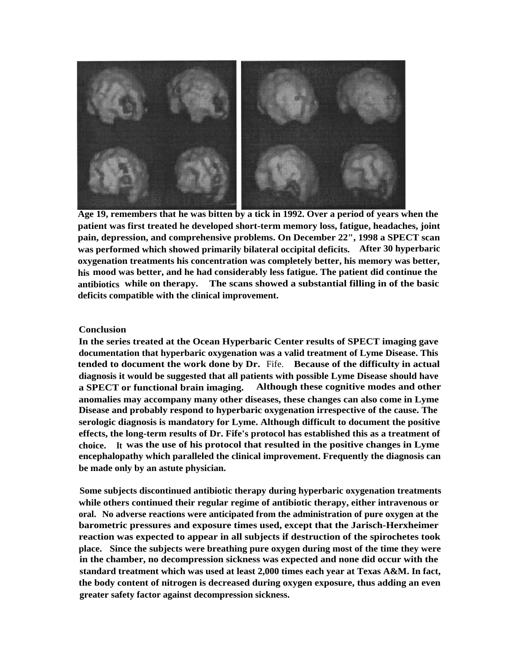

**Age 19, remembers that he was bitten by a tick in 1992. Over a period of years when the patient was first treated he developed short-term memory loss, fatigue, headaches, joint pain, depression, and comprehensive problems. On December 22", 1998 a SPECT scan was performed which showed primarily bilateral occipital deficits. After 30 hyperbaric oxygenation treatments his concentration was completely better, his memory was better, his mood was better, and he had considerably less fatigue. The patient did continue the antibiotics while on therapy. The scans showed a substantial filling in of the basic deficits compatible with the clinical improvement.**

## **Conclusion**

**In the series treated at the Ocean Hyperbaric Center results of SPECT imaging gave documentation that hyperbaric oxygenation was a valid treatment of Lyme Disease. This tended to document the work done by Dr.** Fife. **Because of the difficulty in actual diagnosis it would be suggested that all patients with possible Lyme Disease should have a SPECT or functional brain imaging. Although these cognitive modes and other anomalies may accompany many other diseases, these changes can also come in Lyme Disease and probably respond to hyperbaric oxygenation irrespective of the cause. The serologic diagnosis is mandatory for Lyme. Although difficult to document the positive effects, the long-term results of Dr. Fife's protocol has established this as a treatment of choice. It was the use of his protocol that resulted in the positive changes in Lyme encephalopathy which paralleled the clinical improvement. Frequently the diagnosis can be made only by an astute physician.**

**Some subjects discontinued antibiotic therapy during hyperbaric oxygenation treatments while others continued their regular regime of antibiotic therapy, either intravenous or oral. No adverse reactions were anticipated from the administration of pure oxygen at the barometric pressures and exposure times used, except that the Jarisch-Herxheimer reaction was expected to appear in all subjects if destruction of the spirochetes took place. Since the subjects were breathing pure oxygen during most of the time they were in the chamber, no decompression sickness was expected and none did occur with the standard treatment which was used at least 2,000 times each year at Texas A&M. In fact, the body content of nitrogen is decreased during oxygen exposure, thus adding an even greater safety factor against decompression sickness.**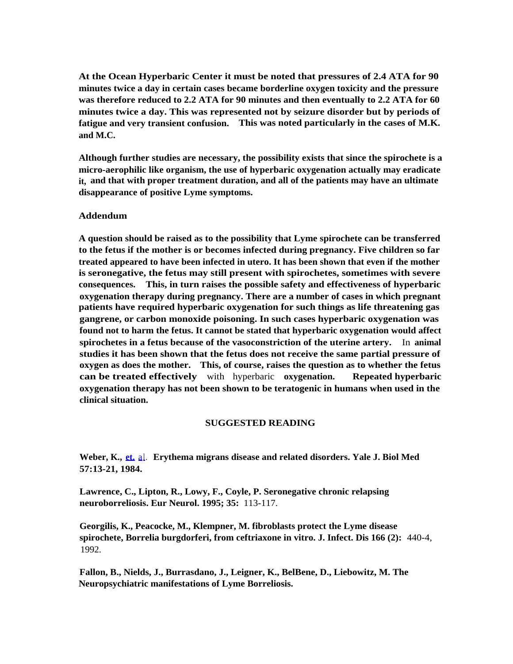**At the Ocean Hyperbaric Center it must be noted that pressures of 2.4 ATA for 90 minutes twice a day in certain cases became borderline oxygen toxicity and the pressure was therefore reduced to 2.2 ATA for 90 minutes and then eventually to 2.2 ATA for 60 minutes twice a day. This was represented not by seizure disorder but by periods of fatigue and very transient confusion. This was noted particularly in the cases of M.K. and M.C.**

**Although further studies are necessary, the possibility exists that since the spirochete is a micro-aerophilic like organism, the use of hyperbaric oxygenation actually may eradicate it, and that with proper treatment duration, and all of the patients may have an ultimate disappearance of positive Lyme symptoms.**

## **Addendum**

**A question should be raised as to the possibility that Lyme spirochete can be transferred to the fetus if the mother is or becomes infected during pregnancy. Five children so far treated appeared to have been infected in utero. It has been shown that even if the mother is seronegative, the fetus may still present with spirochetes, sometimes with severe consequences. This, in turn raises the possible safety and effectiveness of hyperbaric oxygenation therapy during pregnancy. There are a number of cases in which pregnant patients have required hyperbaric oxygenation for such things as life threatening gas gangrene, or carbon monoxide poisoning. In such cases hyperbaric oxygenation was found not to harm the fetus. It cannot be stated that hyperbaric oxygenation would affect spirochetes in a fetus because of the vasoconstriction of the uterine artery.** In **animal studies it has been shown that the fetus does not receive the same partial pressure of oxygen as does the mother. This, of course, raises the question as to whether the fetus can be treated effectively** with hyperbaric **oxygenation. Repeated hyperbaric oxygenation therapy has not been shown to be teratogenic in humans when used in the clinical situation.**

### **SUGGESTED READING**

Weber, K., [et.](http://et.al) [al](http://et.al). Erythema migrans disease and related disorders. Yale J. Biol Med **57:13-21, 1984.**

**Lawrence, C., Lipton, R., Lowy, F., Coyle, P. Seronegative chronic relapsing neuroborreliosis. Eur Neurol. 1995; 35:** 113-117.

**Georgilis, K., Peacocke, M., Klempner, M. fibroblasts protect the Lyme disease spirochete, Borrelia burgdorferi, from ceftriaxone in vitro. J. Infect. Dis 166 (2):** 440-4, 1992.

**Fallon, B., Nields, J., Burrasdano, J., Leigner, K., BelBene, D., Liebowitz, M. The Neuropsychiatric manifestations of Lyme Borreliosis.**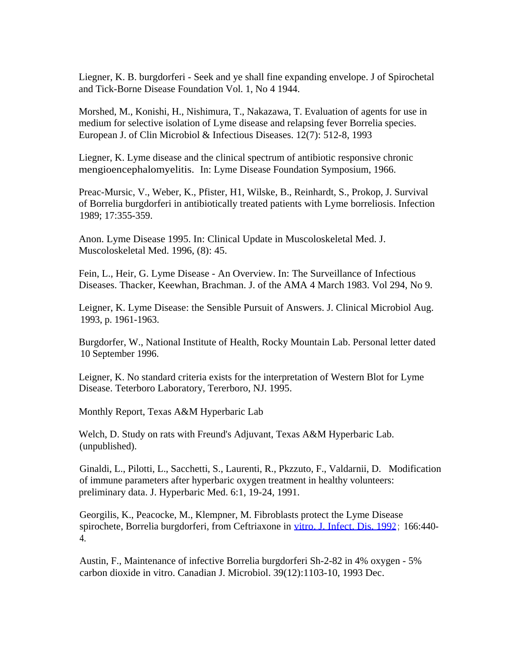Liegner, K. B. burgdorferi - Seek and ye shall fine expanding envelope. J of Spirochetal and Tick-Borne Disease Foundation Vol. 1, No 4 1944.

Morshed, M., Konishi, H., Nishimura, T., Nakazawa, T. Evaluation of agents for use in medium for selective isolation of Lyme disease and relapsing fever Borrelia species. European J. of Clin Microbiol & Infectious Diseases. 12(7): 512-8, 1993

Liegner, K. Lyme disease and the clinical spectrum of antibiotic responsive chronic mengioencephalomyelitis. In: Lyme Disease Foundation Symposium, 1966.

Preac-Mursic, V., Weber, K., Pfister, H1, Wilske, B., Reinhardt, S., Prokop, J. Survival of Borrelia burgdorferi in antibiotically treated patients with Lyme borreliosis. Infection 1989; 17:355-359.

Anon. Lyme Disease 1995. In: Clinical Update in Muscoloskeletal Med. J. Muscoloskeletal Med. 1996, (8): 45.

Fein, L., Heir, G. Lyme Disease - An Overview. In: The Surveillance of Infectious Diseases. Thacker, Keewhan, Brachman. J. of the AMA 4 March 1983. Vol 294, No 9.

Leigner, K. Lyme Disease: the Sensible Pursuit of Answers. J. Clinical Microbiol Aug. 1993, p. 1961-1963.

Burgdorfer, W., National Institute of Health, Rocky Mountain Lab. Personal letter dated 10 September 1996.

Leigner, K. No standard criteria exists for the interpretation of Western Blot for Lyme Disease. Teterboro Laboratory, Tererboro, NJ. 1995.

Monthly Report, Texas A&M Hyperbaric Lab

Welch, D. Study on rats with Freund's Adjuvant, Texas A&M Hyperbaric Lab. (unpublished).

Ginaldi, L., Pilotti, L., Sacchetti, S., Laurenti, R., Pkzzuto, F., Valdarnii, D. Modification of immune parameters after hyperbaric oxygen treatment in healthy volunteers: preliminary data. J. Hyperbaric Med. 6:1, 19-24, 1991.

Georgilis, K., Peacocke, M., Klempner, M. Fibroblasts protect the Lyme Disease spirochete, Borrelia burgdorferi, from Ceftriaxone in [vitro. J. Infect. Dis. 1992](http://vitro.J.Infect.Dis.1992) ; 166:440- 4.

Austin, F., Maintenance of infective Borrelia burgdorferi Sh-2-82 in 4% oxygen - 5% carbon dioxide in vitro. Canadian J. Microbiol. 39(12):1103-10, 1993 Dec.